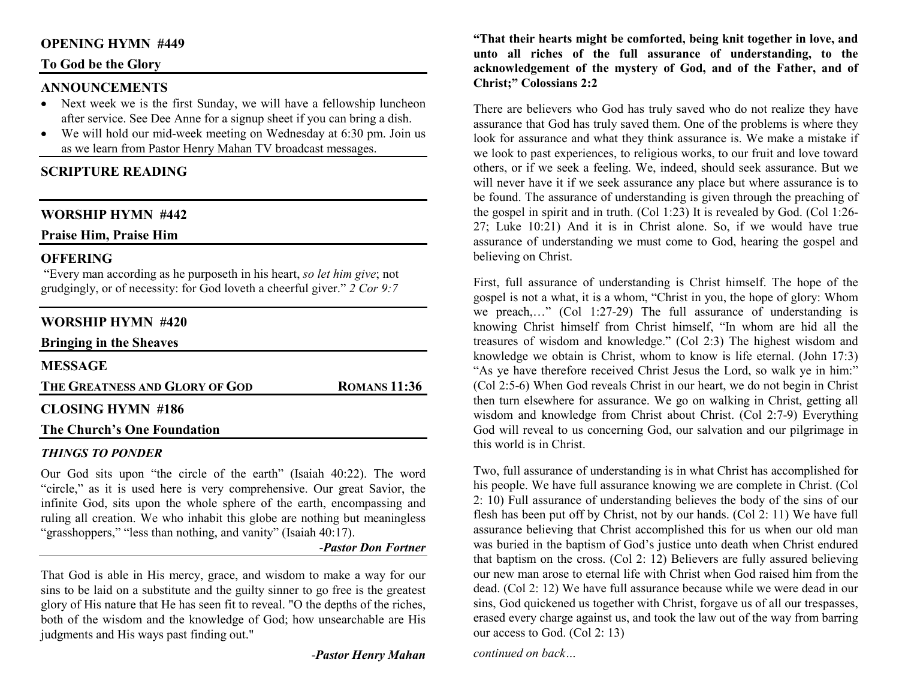## **OPENING HYMN #449**

### **To God be the Glory**

## **ANNOUNCEMENTS**

- Next week we is the first Sunday, we will have a fellowship luncheon after service. See Dee Anne for a signup sheet if you can bring a dish.
- We will hold our mid-week meeting on Wednesday at 6:30 pm. Join us as we learn from Pastor Henry Mahan TV broadcast messages.

# **SCRIPTURE READING**

## **WORSHIP HYMN #442**

**Praise Him, Praise Him**

## **OFFERING**

 "Every man according as he purposeth in his heart, *so let him give*; not grudgingly, or of necessity: for God loveth a cheerful giver." *2 Cor 9:7*

## **WORSHIP HYMN #420**

| <b>Bringing in the Sheaves</b> |                     |
|--------------------------------|---------------------|
| <b>MESSAGE</b>                 |                     |
| THE GREATNESS AND GLORY OF GOD | <b>ROMANS 11:36</b> |
| <b>CLOSING HYMN #186</b>       |                     |
| The Church's One Foundation    |                     |

#### *THINGS TO PONDER*

 Our God sits upon "the circle of the earth" (Isaiah 40:22). The word "circle," as it is used here is very comprehensive. Our great Savior, the infinite God, sits upon the whole sphere of the earth, encompassing and ruling all creation. We who inhabit this globe are nothing but meaningless "grasshoppers," "less than nothing, and vanity" (Isaiah 40:17).

-*Pastor Don Fortner*

That God is able in His mercy, grace, and wisdom to make a way for our sins to be laid on a substitute and the guilty sinner to go free is the greatest glory of His nature that He has seen fit to reveal. "O the depths of the riches, both of the wisdom and the knowledge of God; how unsearchable are His judgments and His ways past finding out."

-*Pastor Henry Mahan*

**"That their hearts might be comforted, being knit together in love, and unto all riches of the full assurance of understanding, to the acknowledgement of the mystery of God, and of the Father, and of Christ;" Colossians 2:2** 

There are believers who God has truly saved who do not realize they have assurance that God has truly saved them. One of the problems is where they look for assurance and what they think assurance is. We make a mistake if we look to past experiences, to religious works, to our fruit and love toward others, or if we seek a feeling. We, indeed, should seek assurance. But we will never have it if we seek assurance any place but where assurance is to be found. The assurance of understanding is given through the preaching of the gospel in spirit and in truth. (Col 1:23) It is revealed by God. (Col 1:26- 27; Luke 10:21) And it is in Christ alone. So, if we would have true assurance of understanding we must come to God, hearing the gospel and believing on Christ.

First, full assurance of understanding is Christ himself. The hope of the gospel is not a what, it is a whom, "Christ in you, the hope of glory: Whom we preach,…" (Col 1:27-29) The full assurance of understanding is knowing Christ himself from Christ himself, "In whom are hid all the treasures of wisdom and knowledge." (Col 2:3) The highest wisdom and knowledge we obtain is Christ, whom to know is life eternal. (John 17:3) "As ye have therefore received Christ Jesus the Lord, so walk ye in him:" (Col 2:5-6) When God reveals Christ in our heart, we do not begin in Christ then turn elsewhere for assurance. We go on walking in Christ, getting all wisdom and knowledge from Christ about Christ. (Col 2:7-9) Everything God will reveal to us concerning God, our salvation and our pilgrimage in this world is in Christ.

Two, full assurance of understanding is in what Christ has accomplished for his people. We have full assurance knowing we are complete in Christ. (Col 2: 10) Full assurance of understanding believes the body of the sins of our flesh has been put off by Christ, not by our hands. (Col 2: 11) We have full assurance believing that Christ accomplished this for us when our old man was buried in the baptism of God's justice unto death when Christ endured that baptism on the cross. (Col 2: 12) Believers are fully assured believing our new man arose to eternal life with Christ when God raised him from the dead. (Col 2: 12) We have full assurance because while we were dead in our sins, God quickened us together with Christ, forgave us of all our trespasses, erased every charge against us, and took the law out of the way from barring our access to God. (Col 2: 13)

*continued on back…*